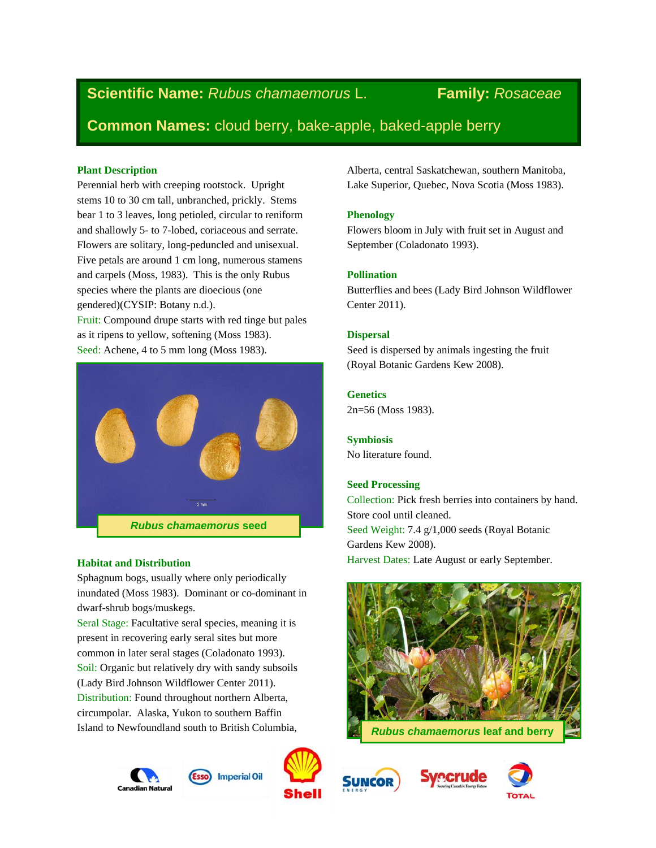# **Scientific Name:** *Rubus chamaemorus* L. **Family:** *Rosaceae*

**Common Names:** cloud berry, bake-apple, baked-apple berry

### **Plant Description**

Perennial herb with creeping rootstock. Upright stems 10 to 30 cm tall, unbranched, prickly. Stems bear 1 to 3 leaves, long petioled, circular to reniform and shallowly 5- to 7-lobed, coriaceous and serrate. Flowers are solitary, long-peduncled and unisexual. Five petals are around 1 cm long, numerous stamens and carpels (Moss, 1983). This is the only Rubus species where the plants are dioecious (one gendered)(CYSIP: Botany n.d.).

Fruit: Compound drupe starts with red tinge but pales as it ripens to yellow, softening (Moss 1983). Seed: Achene, 4 to 5 mm long (Moss 1983).



### **Habitat and Distribution**

Sphagnum bogs, usually where only periodically inundated (Moss 1983). Dominant or co-dominant in dwarf-shrub bogs/muskegs.

Seral Stage: Facultative seral species, meaning it is present in recovering early seral sites but more common in later seral stages (Coladonato 1993). Soil: Organic but relatively dry with sandy subsoils (Lady Bird Johnson Wildflower Center 2011). Distribution: Found throughout northern Alberta, circumpolar. Alaska, Yukon to southern Baffin Island to Newfoundland south to British Columbia,





Alberta, central Saskatchewan, southern Manitoba, Lake Superior, Quebec, Nova Scotia (Moss 1983).

# **Phenology**

Flowers bloom in July with fruit set in August and September (Coladonato 1993).

# **Pollination**

Butterflies and bees (Lady Bird Johnson Wildflower Center 2011).

# **Dispersal**

Seed is dispersed by animals ingesting the fruit (Royal Botanic Gardens Kew 2008).

# **Genetics**

2n=56 (Moss 1983).

**Symbiosis** No literature found.

# **Seed Processing**

Collection: Pick fresh berries into containers by hand. Store cool until cleaned. Seed Weight: 7.4 g/1,000 seeds (Royal Botanic Gardens Kew 2008). Harvest Dates: Late August or early September.





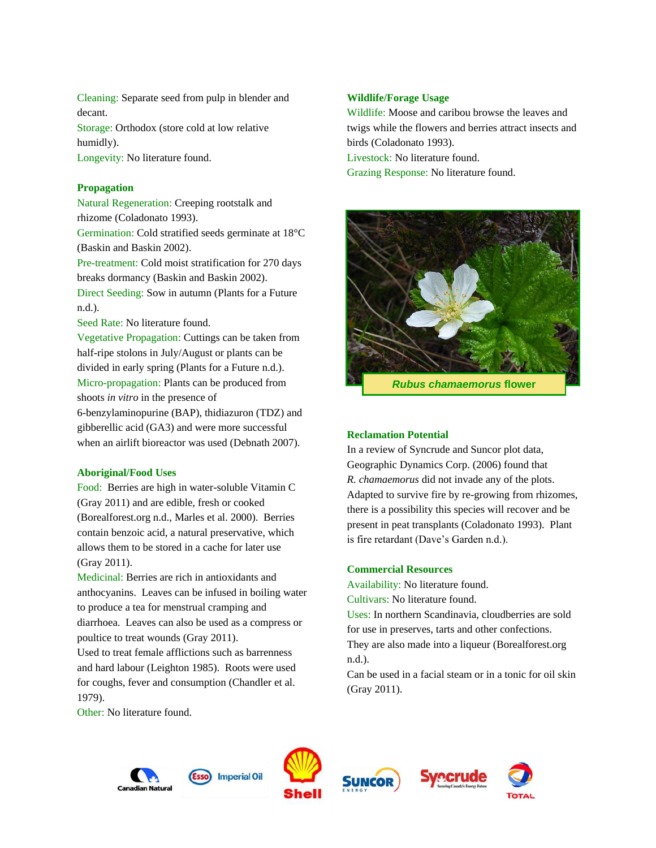Cleaning: Separate seed from pulp in blender and decant. Storage: Orthodox (store cold at low relative humidly).

Longevity: No literature found.

#### **Propagation**

Natural Regeneration: Creeping rootstalk and rhizome (Coladonato 1993). Germination: Cold stratified seeds germinate at 18°C (Baskin and Baskin 2002). Pre-treatment: Cold moist stratification for 270 days

breaks dormancy (Baskin and Baskin 2002). Direct Seeding: Sow in autumn (Plants for a Future n.d.).

Seed Rate: No literature found.

Vegetative Propagation: Cuttings can be taken from half-ripe stolons in July/August or plants can be divided in early spring (Plants for a Future n.d.). Micro-propagation: Plants can be produced from shoots *in vitro* in the presence of

6-benzylaminopurine (BAP), thidiazuron (TDZ) and gibberellic acid (GA3) and were more successful when an airlift bioreactor was used (Debnath 2007).

#### **Aboriginal/Food Uses**

Food: Berries are high in water-soluble Vitamin C (Gray 2011) and are edible, fresh or cooked (Borealforest.org n.d., Marles et al. 2000). Berries contain benzoic acid, a natural preservative, which allows them to be stored in a cache for later use (Gray 2011).

Medicinal: Berries are rich in antioxidants and anthocyanins. Leaves can be infused in boiling water to produce a tea for menstrual cramping and diarrhoea. Leaves can also be used as a compress or poultice to treat wounds (Gray 2011).

Used to treat female afflictions such as barrenness and hard labour (Leighton 1985). Roots were used for coughs, fever and consumption (Chandler et al. 1979).

Other: No literature found.

#### **Wildlife/Forage Usage**

Wildlife: Moose and caribou browse the leaves and twigs while the flowers and berries attract insects and birds (Coladonato 1993). Livestock: No literature found.

Grazing Response: No literature found.



*Rubus chamaemorus* **flower**

#### **Reclamation Potential**

In a review of Syncrude and Suncor plot data, Geographic Dynamics Corp. (2006) found that *R. chamaemorus* did not invade any of the plots. Adapted to survive fire by re-growing from rhizomes, there is a possibility this species will recover and be present in peat transplants (Coladonato 1993). Plant is fire retardant (Dave's Garden n.d.).

#### **Commercial Resources**

Availability: No literature found. Cultivars: No literature found.

Uses: In northern Scandinavia, cloudberries are sold for use in preserves, tarts and other confections.

They are also made into a liqueur (Borealforest.org n.d.).

Can be used in a facial steam or in a tonic for oil skin (Gray 2011).









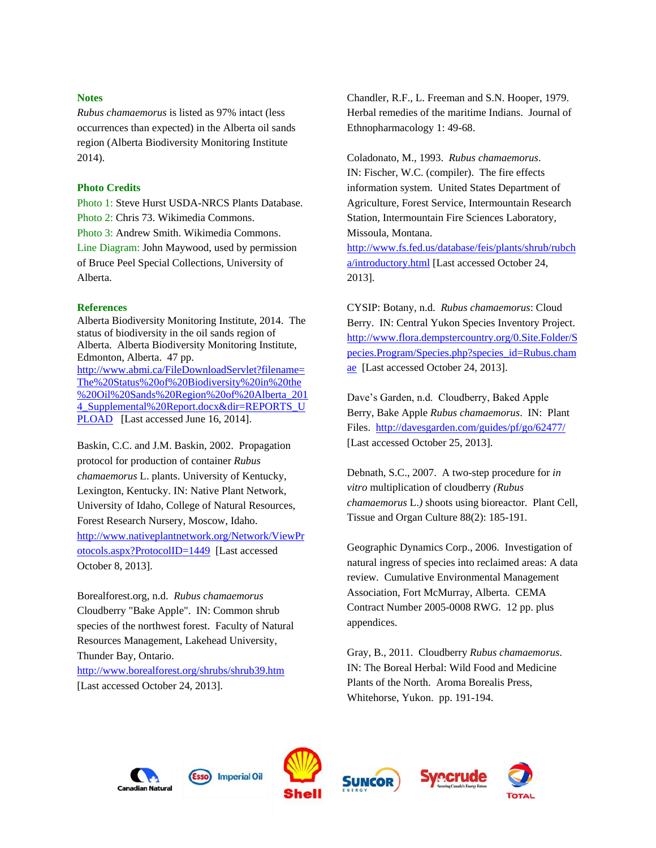#### **Notes**

*Rubus chamaemorus* is listed as 97% intact (less occurrences than expected) in the Alberta oil sands region (Alberta Biodiversity Monitoring Institute 2014).

#### **Photo Credits**

Photo 1: Steve Hurst USDA-NRCS Plants Database. Photo 2: Chris 73. Wikimedia Commons. Photo 3: Andrew Smith. Wikimedia Commons. Line Diagram: John Maywood, used by permission of Bruce Peel Special Collections, University of Alberta.

#### **References**

Alberta Biodiversity Monitoring Institute, 2014. The status of biodiversity in the oil sands region of Alberta. Alberta Biodiversity Monitoring Institute, Edmonton, Alberta. 47 pp. [http://www.abmi.ca/FileDownloadServlet?filename=](http://www.abmi.ca/FileDownloadServlet?filename=The%20Status%20of%20Biodiversity%20in%20the%20Oil%20Sands%20Region%20of%20Alberta_2014_Supplemental%20Report.docx&dir=REPORTS_UPLOAD) [The%20Status%20of%20Biodiversity%20in%20the](http://www.abmi.ca/FileDownloadServlet?filename=The%20Status%20of%20Biodiversity%20in%20the%20Oil%20Sands%20Region%20of%20Alberta_2014_Supplemental%20Report.docx&dir=REPORTS_UPLOAD) [%20Oil%20Sands%20Region%20of%20Alberta\\_201](http://www.abmi.ca/FileDownloadServlet?filename=The%20Status%20of%20Biodiversity%20in%20the%20Oil%20Sands%20Region%20of%20Alberta_2014_Supplemental%20Report.docx&dir=REPORTS_UPLOAD) [4\\_Supplemental%20Report.docx&dir=REPORTS\\_U](http://www.abmi.ca/FileDownloadServlet?filename=The%20Status%20of%20Biodiversity%20in%20the%20Oil%20Sands%20Region%20of%20Alberta_2014_Supplemental%20Report.docx&dir=REPORTS_UPLOAD) [PLOAD](http://www.abmi.ca/FileDownloadServlet?filename=The%20Status%20of%20Biodiversity%20in%20the%20Oil%20Sands%20Region%20of%20Alberta_2014_Supplemental%20Report.docx&dir=REPORTS_UPLOAD) [Last accessed June 16, 2014].

Baskin, C.C. and J.M. Baskin, 2002. Propagation protocol for production of container *Rubus chamaemorus* L. plants. University of Kentucky, Lexington, Kentucky. IN: Native Plant Network, University of Idaho, College of Natural Resources, Forest Research Nursery, Moscow, Idaho. [http://www.nativeplantnetwork.org/Network/ViewPr](http://www.nativeplantnetwork.org/Network/ViewProtocols.aspx?ProtocolID=1449) [otocols.aspx?ProtocolID=1449](http://www.nativeplantnetwork.org/Network/ViewProtocols.aspx?ProtocolID=1449) [Last accessed October 8, 2013].

Borealforest.org, n.d. *Rubus chamaemorus* Cloudberry "Bake Apple". IN: Common shrub species of the northwest forest. Faculty of Natural Resources Management, Lakehead University, Thunder Bay, Ontario.

<http://www.borealforest.org/shrubs/shrub39.htm> [Last accessed October 24, 2013].

Chandler, R.F., L. Freeman and S.N. Hooper, 1979. Herbal remedies of the maritime Indians. Journal of Ethnopharmacology 1: 49-68.

Coladonato, M., 1993. *Rubus chamaemorus*. IN: Fischer, W.C. (compiler). The fire effects information system. United States Department of Agriculture, Forest Service, Intermountain Research Station, Intermountain Fire Sciences Laboratory, Missoula, Montana.

[http://www.fs.fed.us/database/feis/plants/shrub/rubch](http://www.fs.fed.us/database/feis/plants/shrub/rubcha/introductory.html) [a/introductory.html](http://www.fs.fed.us/database/feis/plants/shrub/rubcha/introductory.html) [Last accessed October 24, 2013].

CYSIP: Botany, n.d. *Rubus chamaemorus*: Cloud Berry. IN: Central Yukon Species Inventory Project. [http://www.flora.dempstercountry.org/0.Site.Folder/S](http://www.flora.dempstercountry.org/0.Site.Folder/Species.Program/Species.php?species_id=Rubus.chamae) [pecies.Program/Species.php?species\\_id=Rubus.cham](http://www.flora.dempstercountry.org/0.Site.Folder/Species.Program/Species.php?species_id=Rubus.chamae) [ae](http://www.flora.dempstercountry.org/0.Site.Folder/Species.Program/Species.php?species_id=Rubus.chamae) [Last accessed October 24, 2013].

Dave's Garden, n.d. Cloudberry, Baked Apple Berry, Bake Apple *Rubus chamaemorus*. IN: Plant Files. <http://davesgarden.com/guides/pf/go/62477/> [Last accessed October 25, 2013].

Debnath, S.C., 2007. A two-step procedure for *in vitro* multiplication of cloudberry *(Rubus chamaemorus* L.*)* shoots using bioreactor. Plant Cell, Tissue and Organ Culture 88(2): 185-191.

Geographic Dynamics Corp., 2006. Investigation of natural ingress of species into reclaimed areas: A data review. Cumulative Environmental Management Association, Fort McMurray, Alberta. CEMA Contract Number 2005-0008 RWG. 12 pp. plus appendices.

Gray, B., 2011. Cloudberry *Rubus chamaemorus*. IN: The Boreal Herbal: Wild Food and Medicine Plants of the North. Aroma Borealis Press, Whitehorse, Yukon. pp. 191-194.